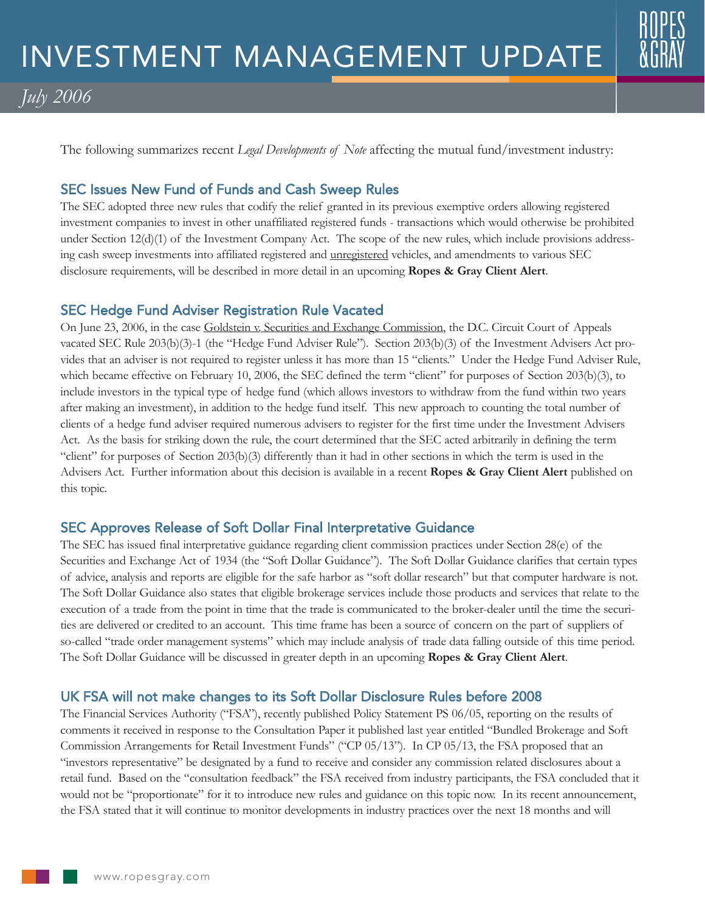# *July 2006*

The following summarizes recent *Legal Developments of Note* affecting the mutual fund/investment industry:

# SEC Issues New Fund of Funds and Cash Sweep Rules

The SEC adopted three new rules that codify the relief granted in its previous exemptive orders allowing registered investment companies to invest in other unaffiliated registered funds - transactions which would otherwise be prohibited under Section 12(d)(1) of the Investment Company Act. The scope of the new rules, which include provisions addressing cash sweep investments into affiliated registered and unregistered vehicles, and amendments to various SEC disclosure requirements, will be described in more detail in an upcoming **Ropes & Gray Client Alert**.

#### SEC Hedge Fund Adviser Registration Rule Vacated

On June 23, 2006, in the case Goldstein v. Securities and Exchange Commission, the D.C. Circuit Court of Appeals vacated SEC Rule 203(b)(3)-1 (the "Hedge Fund Adviser Rule"). Section 203(b)(3) of the Investment Advisers Act provides that an adviser is not required to register unless it has more than 15 "clients." Under the Hedge Fund Adviser Rule, which became effective on February 10, 2006, the SEC defined the term "client" for purposes of Section 203(b)(3), to include investors in the typical type of hedge fund (which allows investors to withdraw from the fund within two years after making an investment), in addition to the hedge fund itself. This new approach to counting the total number of clients of a hedge fund adviser required numerous advisers to register for the first time under the Investment Advisers Act. As the basis for striking down the rule, the court determined that the SEC acted arbitrarily in defining the term "client" for purposes of Section 203(b)(3) differently than it had in other sections in which the term is used in the Advisers Act. Further information about this decision is available in a recent **Ropes & Gray Client Alert** published on this topic.

## SEC Approves Release of Soft Dollar Final Interpretative Guidance

The SEC has issued final interpretative guidance regarding client commission practices under Section 28(e) of the Securities and Exchange Act of 1934 (the "Soft Dollar Guidance"). The Soft Dollar Guidance clarifies that certain types of advice, analysis and reports are eligible for the safe harbor as "soft dollar research" but that computer hardware is not. The Soft Dollar Guidance also states that eligible brokerage services include those products and services that relate to the execution of a trade from the point in time that the trade is communicated to the broker-dealer until the time the securities are delivered or credited to an account. This time frame has been a source of concern on the part of suppliers of so-called "trade order management systems" which may include analysis of trade data falling outside of this time period. The Soft Dollar Guidance will be discussed in greater depth in an upcoming **Ropes & Gray Client Alert**.

## UK FSA will not make changes to its Soft Dollar Disclosure Rules before 2008

The Financial Services Authority ("FSA"), recently published Policy Statement PS 06/05, reporting on the results of comments it received in response to the Consultation Paper it published last year entitled "Bundled Brokerage and Soft Commission Arrangements for Retail Investment Funds" ("CP 05/13"). In CP 05/13, the FSA proposed that an "investors representative" be designated by a fund to receive and consider any commission related disclosures about a retail fund. Based on the "consultation feedback" the FSA received from industry participants, the FSA concluded that it would not be "proportionate" for it to introduce new rules and guidance on this topic now. In its recent announcement, the FSA stated that it will continue to monitor developments in industry practices over the next 18 months and will